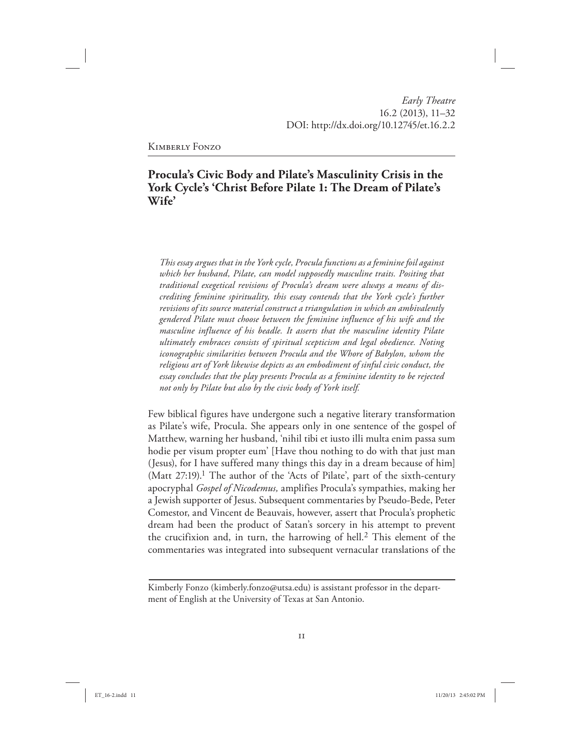# **Procula's Civic Body and Pilate's Masculinity Crisis in the York Cycle's 'Christ Before Pilate 1: The Dream of Pilate's Wife'**

*This essay argues that in the York cycle, Procula functions as a feminine foil against which her husband, Pilate, can model supposedly masculine traits. Positing that traditional exegetical revisions of Procula's dream were always a means of discrediting feminine spirituality, this essay contends that the York cycle's further revisions of its source material construct a triangulation in which an ambivalently gendered Pilate must choose between the feminine influence of his wife and the masculine influence of his beadle. It asserts that the masculine identity Pilate ultimately embraces consists of spiritual scepticism and legal obedience. Noting iconographic similarities between Procula and the Whore of Babylon, whom the religious art of York likewise depicts as an embodiment of sinful civic conduct, the essay concludes that the play presents Procula as a feminine identity to be rejected not only by Pilate but also by the civic body of York itself.*

Few biblical figures have undergone such a negative literary transformation as Pilate's wife, Procula. She appears only in one sentence of the gospel of Matthew, warning her husband, 'nihil tibi et iusto illi multa enim passa sum hodie per visum propter eum' [Have thou nothing to do with that just man (Jesus), for I have suffered many things this day in a dream because of him] (Matt  $27:19$ ).<sup>1</sup> The author of the 'Acts of Pilate', part of the sixth-century apocryphal *Gospel of Nicodemus,* amplifies Procula's sympathies, making her a Jewish supporter of Jesus. Subsequent commentaries by Pseudo-Bede, Peter Comestor, and Vincent de Beauvais, however, assert that Procula's prophetic dream had been the product of Satan's sorcery in his attempt to prevent the crucifixion and, in turn, the harrowing of hell.<sup>2</sup> This element of the commentaries was integrated into subsequent vernacular translations of the

Kimberly Fonzo (kimberly.fonzo@utsa.edu) is assistant professor in the department of English at the University of Texas at San Antonio.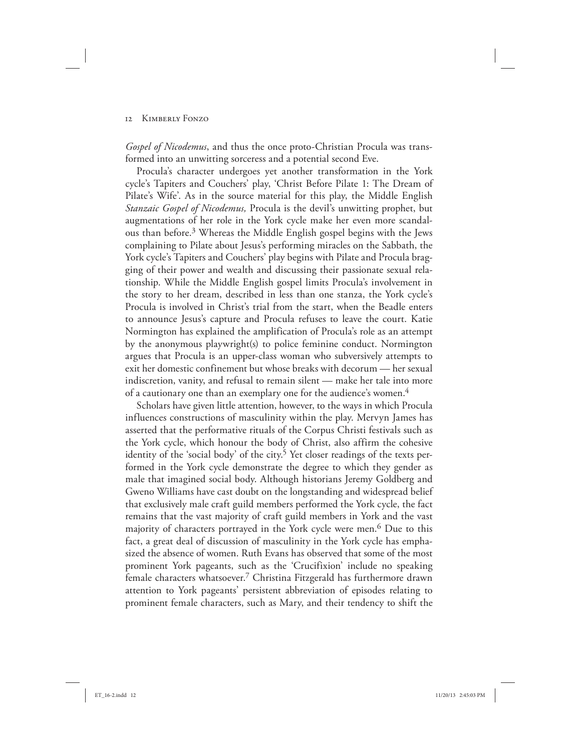*Gospel of Nicodemus*, and thus the once proto-Christian Procula was transformed into an unwitting sorceress and a potential second Eve.

Procula's character undergoes yet another transformation in the York cycle's Tapiters and Couchers' play, 'Christ Before Pilate 1: The Dream of Pilate's Wife'. As in the source material for this play, the Middle English *Stanzaic Gospel of Nicodemus,* Procula is the devil's unwitting prophet, but augmentations of her role in the York cycle make her even more scandalous than before.3 Whereas the Middle English gospel begins with the Jews complaining to Pilate about Jesus's performing miracles on the Sabbath, the York cycle's Tapiters and Couchers' play begins with Pilate and Procula bragging of their power and wealth and discussing their passionate sexual relationship. While the Middle English gospel limits Procula's involvement in the story to her dream, described in less than one stanza, the York cycle's Procula is involved in Christ's trial from the start, when the Beadle enters to announce Jesus's capture and Procula refuses to leave the court. Katie Normington has explained the amplification of Procula's role as an attempt by the anonymous playwright(s) to police feminine conduct. Normington argues that Procula is an upper-class woman who subversively attempts to exit her domestic confinement but whose breaks with decorum — her sexual indiscretion, vanity, and refusal to remain silent — make her tale into more of a cautionary one than an exemplary one for the audience's women.<sup>4</sup>

Scholars have given little attention, however, to the ways in which Procula influences constructions of masculinity within the play. Mervyn James has asserted that the performative rituals of the Corpus Christi festivals such as the York cycle, which honour the body of Christ, also affirm the cohesive identity of the 'social body' of the city.<sup>5</sup> Yet closer readings of the texts performed in the York cycle demonstrate the degree to which they gender as male that imagined social body. Although historians Jeremy Goldberg and Gweno Williams have cast doubt on the longstanding and widespread belief that exclusively male craft guild members performed the York cycle, the fact remains that the vast majority of craft guild members in York and the vast majority of characters portrayed in the York cycle were men.<sup>6</sup> Due to this fact, a great deal of discussion of masculinity in the York cycle has emphasized the absence of women. Ruth Evans has observed that some of the most prominent York pageants, such as the 'Crucifixion' include no speaking female characters whatsoever.7 Christina Fitzgerald has furthermore drawn attention to York pageants' persistent abbreviation of episodes relating to prominent female characters, such as Mary, and their tendency to shift the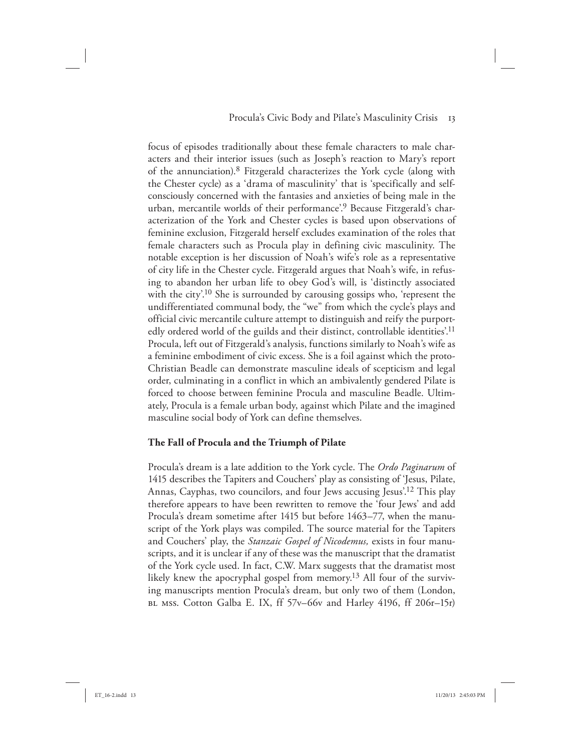focus of episodes traditionally about these female characters to male characters and their interior issues (such as Joseph's reaction to Mary's report of the annunciation).8 Fitzgerald characterizes the York cycle (along with the Chester cycle) as a 'drama of masculinity' that is 'specifically and selfconsciously concerned with the fantasies and anxieties of being male in the urban, mercantile worlds of their performance'.9 Because Fitzgerald's characterization of the York and Chester cycles is based upon observations of feminine exclusion, Fitzgerald herself excludes examination of the roles that female characters such as Procula play in defining civic masculinity. The notable exception is her discussion of Noah's wife's role as a representative of city life in the Chester cycle. Fitzgerald argues that Noah's wife, in refusing to abandon her urban life to obey God's will, is 'distinctly associated with the city'.<sup>10</sup> She is surrounded by carousing gossips who, 'represent the undifferentiated communal body, the "we" from which the cycle's plays and official civic mercantile culture attempt to distinguish and reify the purportedly ordered world of the guilds and their distinct, controllable identities<sup>'11</sup> Procula, left out of Fitzgerald's analysis, functions similarly to Noah's wife as a feminine embodiment of civic excess. She is a foil against which the proto-Christian Beadle can demonstrate masculine ideals of scepticism and legal order, culminating in a conflict in which an ambivalently gendered Pilate is forced to choose between feminine Procula and masculine Beadle. Ultimately, Procula is a female urban body, against which Pilate and the imagined masculine social body of York can define themselves.

#### **The Fall of Procula and the Triumph of Pilate**

Procula's dream is a late addition to the York cycle. The *Ordo Paginarum* of 1415 describes the Tapiters and Couchers' play as consisting of 'Jesus, Pilate, Annas, Cayphas, two councilors, and four Jews accusing Jesus'.12 This play therefore appears to have been rewritten to remove the 'four Jews' and add Procula's dream sometime after 1415 but before 1463–77, when the manuscript of the York plays was compiled. The source material for the Tapiters and Couchers' play, the *Stanzaic Gospel of Nicodemus,* exists in four manuscripts, and it is unclear if any of these was the manuscript that the dramatist of the York cycle used. In fact, C.W. Marx suggests that the dramatist most likely knew the apocryphal gospel from memory.<sup>13</sup> All four of the surviving manuscripts mention Procula's dream, but only two of them (London, BL mss. Cotton Galba E. IX, ff 57v–66v and Harley 4196, ff 206r–15r)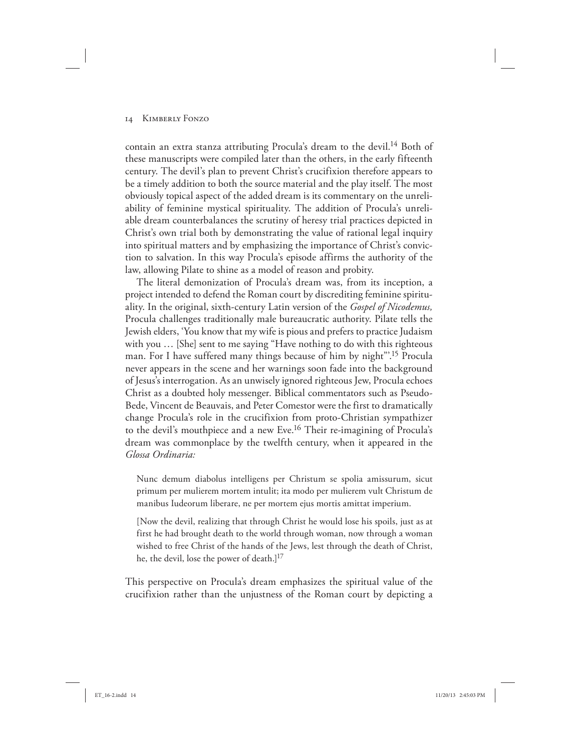contain an extra stanza attributing Procula's dream to the devil.14 Both of these manuscripts were compiled later than the others, in the early fifteenth century. The devil's plan to prevent Christ's crucifixion therefore appears to be a timely addition to both the source material and the play itself. The most obviously topical aspect of the added dream is its commentary on the unreliability of feminine mystical spirituality. The addition of Procula's unreliable dream counterbalances the scrutiny of heresy trial practices depicted in Christ's own trial both by demonstrating the value of rational legal inquiry into spiritual matters and by emphasizing the importance of Christ's conviction to salvation. In this way Procula's episode affirms the authority of the law, allowing Pilate to shine as a model of reason and probity.

The literal demonization of Procula's dream was, from its inception, a project intended to defend the Roman court by discrediting feminine spirituality. In the original, sixth-century Latin version of the *Gospel of Nicodemus,* Procula challenges traditionally male bureaucratic authority. Pilate tells the Jewish elders, 'You know that my wife is pious and prefers to practice Judaism with you … [She] sent to me saying "Have nothing to do with this righteous man. For I have suffered many things because of him by night".<sup>15</sup> Procula never appears in the scene and her warnings soon fade into the background of Jesus's interrogation. As an unwisely ignored righteous Jew, Procula echoes Christ as a doubted holy messenger. Biblical commentators such as Pseudo-Bede, Vincent de Beauvais, and Peter Comestor were the first to dramatically change Procula's role in the crucifixion from proto-Christian sympathizer to the devil's mouthpiece and a new Eve.16 Their re-imagining of Procula's dream was commonplace by the twelfth century, when it appeared in the *Glossa Ordinaria:*

Nunc demum diabolus intelligens per Christum se spolia amissurum, sicut primum per mulierem mortem intulit; ita modo per mulierem vult Christum de manibus Iudeorum liberare, ne per mortem ejus mortis amittat imperium.

[Now the devil, realizing that through Christ he would lose his spoils, just as at first he had brought death to the world through woman, now through a woman wished to free Christ of the hands of the Jews, lest through the death of Christ, he, the devil, lose the power of death.]<sup>17</sup>

This perspective on Procula's dream emphasizes the spiritual value of the crucifixion rather than the unjustness of the Roman court by depicting a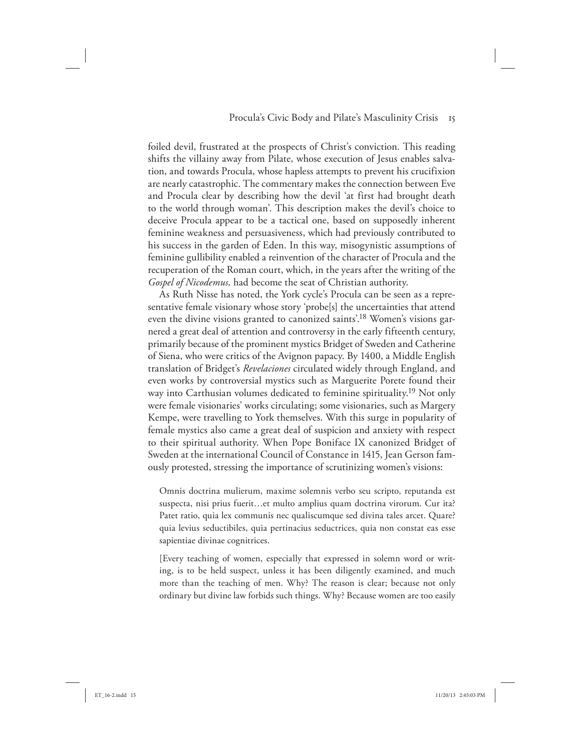foiled devil, frustrated at the prospects of Christ's conviction. This reading shifts the villainy away from Pilate, whose execution of Jesus enables salvation, and towards Procula, whose hapless attempts to prevent his crucifixion are nearly catastrophic. The commentary makes the connection between Eve and Procula clear by describing how the devil 'at first had brought death to the world through woman'. This description makes the devil's choice to deceive Procula appear to be a tactical one, based on supposedly inherent feminine weakness and persuasiveness, which had previously contributed to his success in the garden of Eden. In this way, misogynistic assumptions of feminine gullibility enabled a reinvention of the character of Procula and the recuperation of the Roman court, which, in the years after the writing of the *Gospel of Nicodemus,* had become the seat of Christian authority.

As Ruth Nisse has noted, the York cycle's Procula can be seen as a representative female visionary whose story 'probe[s] the uncertainties that attend even the divine visions granted to canonized saints'.18 Women's visions garnered a great deal of attention and controversy in the early fifteenth century, primarily because of the prominent mystics Bridget of Sweden and Catherine of Siena, who were critics of the Avignon papacy. By 1400, a Middle English translation of Bridget's *Revelaciones* circulated widely through England, and even works by controversial mystics such as Marguerite Porete found their way into Carthusian volumes dedicated to feminine spirituality.<sup>19</sup> Not only were female visionaries' works circulating; some visionaries, such as Margery Kempe, were travelling to York themselves. With this surge in popularity of female mystics also came a great deal of suspicion and anxiety with respect to their spiritual authority. When Pope Boniface IX canonized Bridget of Sweden at the international Council of Constance in 1415, Jean Gerson famously protested, stressing the importance of scrutinizing women's visions:

Omnis doctrina mulierum, maxime solemnis verbo seu scripto, reputanda est suspecta, nisi prius fuerit…et multo amplius quam doctrina virorum. Cur ita? Patet ratio, quia lex communis nec qualiscumque sed divina tales arcet. Quare? quia levius seductibiles, quia pertinacius seductrices, quia non constat eas esse sapientiae divinae cognitrices.

[Every teaching of women, especially that expressed in solemn word or writing, is to be held suspect, unless it has been diligently examined, and much more than the teaching of men. Why? The reason is clear; because not only ordinary but divine law forbids such things. Why? Because women are too easily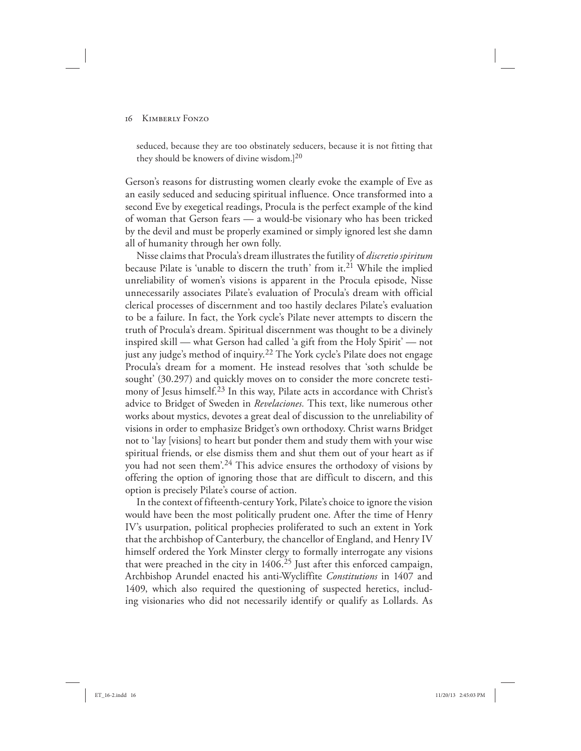seduced, because they are too obstinately seducers, because it is not fitting that they should be knowers of divine wisdom.]<sup>20</sup>

Gerson's reasons for distrusting women clearly evoke the example of Eve as an easily seduced and seducing spiritual influence. Once transformed into a second Eve by exegetical readings, Procula is the perfect example of the kind of woman that Gerson fears — a would-be visionary who has been tricked by the devil and must be properly examined or simply ignored lest she damn all of humanity through her own folly.

Nisse claims that Procula's dream illustrates the futility of *discretio spiritum* because Pilate is 'unable to discern the truth' from it.<sup>21</sup> While the implied unreliability of women's visions is apparent in the Procula episode, Nisse unnecessarily associates Pilate's evaluation of Procula's dream with official clerical processes of discernment and too hastily declares Pilate's evaluation to be a failure. In fact, the York cycle's Pilate never attempts to discern the truth of Procula's dream. Spiritual discernment was thought to be a divinely inspired skill — what Gerson had called 'a gift from the Holy Spirit' — not just any judge's method of inquiry.<sup>22</sup> The York cycle's Pilate does not engage Procula's dream for a moment. He instead resolves that 'soth schulde be sought' (30.297) and quickly moves on to consider the more concrete testimony of Jesus himself.<sup>23</sup> In this way, Pilate acts in accordance with Christ's advice to Bridget of Sweden in *Revelaciones.* This text, like numerous other works about mystics, devotes a great deal of discussion to the unreliability of visions in order to emphasize Bridget's own orthodoxy. Christ warns Bridget not to 'lay [visions] to heart but ponder them and study them with your wise spiritual friends, or else dismiss them and shut them out of your heart as if you had not seen them'.24 This advice ensures the orthodoxy of visions by offering the option of ignoring those that are difficult to discern, and this option is precisely Pilate's course of action.

In the context of fifteenth-century York, Pilate's choice to ignore the vision would have been the most politically prudent one. After the time of Henry IV's usurpation, political prophecies proliferated to such an extent in York that the archbishop of Canterbury, the chancellor of England, and Henry IV himself ordered the York Minster clergy to formally interrogate any visions that were preached in the city in 1406.25 Just after this enforced campaign, Archbishop Arundel enacted his anti-Wycliffite *Constitutions* in 1407 and 1409, which also required the questioning of suspected heretics, including visionaries who did not necessarily identify or qualify as Lollards. As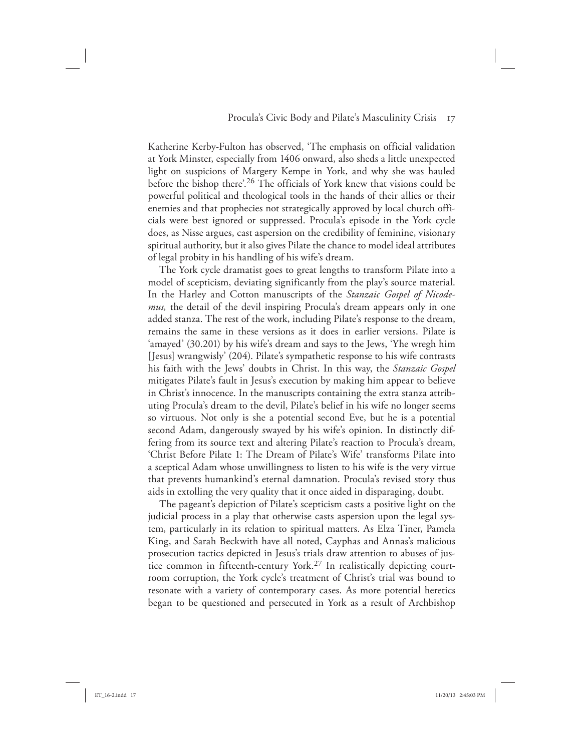Katherine Kerby-Fulton has observed, 'The emphasis on official validation at York Minster, especially from 1406 onward, also sheds a little unexpected light on suspicions of Margery Kempe in York, and why she was hauled before the bishop there'.26 The officials of York knew that visions could be powerful political and theological tools in the hands of their allies or their enemies and that prophecies not strategically approved by local church officials were best ignored or suppressed. Procula's episode in the York cycle does, as Nisse argues, cast aspersion on the credibility of feminine, visionary spiritual authority, but it also gives Pilate the chance to model ideal attributes of legal probity in his handling of his wife's dream.

The York cycle dramatist goes to great lengths to transform Pilate into a model of scepticism, deviating significantly from the play's source material. In the Harley and Cotton manuscripts of the *Stanzaic Gospel of Nicodemus,* the detail of the devil inspiring Procula's dream appears only in one added stanza. The rest of the work, including Pilate's response to the dream, remains the same in these versions as it does in earlier versions. Pilate is 'amayed' (30.201) by his wife's dream and says to the Jews, 'Yhe wregh him [Jesus] wrangwisly' (204). Pilate's sympathetic response to his wife contrasts his faith with the Jews' doubts in Christ. In this way, the *Stanzaic Gospel* mitigates Pilate's fault in Jesus's execution by making him appear to believe in Christ's innocence. In the manuscripts containing the extra stanza attributing Procula's dream to the devil, Pilate's belief in his wife no longer seems so virtuous. Not only is she a potential second Eve, but he is a potential second Adam, dangerously swayed by his wife's opinion. In distinctly differing from its source text and altering Pilate's reaction to Procula's dream, 'Christ Before Pilate 1: The Dream of Pilate's Wife' transforms Pilate into a sceptical Adam whose unwillingness to listen to his wife is the very virtue that prevents humankind's eternal damnation. Procula's revised story thus aids in extolling the very quality that it once aided in disparaging, doubt.

The pageant's depiction of Pilate's scepticism casts a positive light on the judicial process in a play that otherwise casts aspersion upon the legal system, particularly in its relation to spiritual matters. As Elza Tiner, Pamela King, and Sarah Beckwith have all noted, Cayphas and Annas's malicious prosecution tactics depicted in Jesus's trials draw attention to abuses of justice common in fifteenth-century York.27 In realistically depicting courtroom corruption, the York cycle's treatment of Christ's trial was bound to resonate with a variety of contemporary cases. As more potential heretics began to be questioned and persecuted in York as a result of Archbishop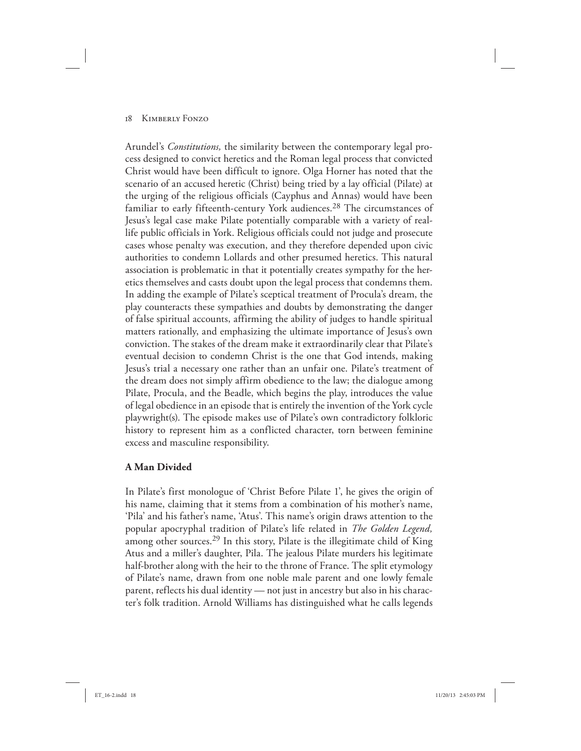Arundel's *Constitutions,* the similarity between the contemporary legal process designed to convict heretics and the Roman legal process that convicted Christ would have been difficult to ignore. Olga Horner has noted that the scenario of an accused heretic (Christ) being tried by a lay official (Pilate) at the urging of the religious officials (Cayphus and Annas) would have been familiar to early fifteenth-century York audiences.<sup>28</sup> The circumstances of Jesus's legal case make Pilate potentially comparable with a variety of reallife public officials in York. Religious officials could not judge and prosecute cases whose penalty was execution, and they therefore depended upon civic authorities to condemn Lollards and other presumed heretics. This natural association is problematic in that it potentially creates sympathy for the heretics themselves and casts doubt upon the legal process that condemns them. In adding the example of Pilate's sceptical treatment of Procula's dream, the play counteracts these sympathies and doubts by demonstrating the danger of false spiritual accounts, affirming the ability of judges to handle spiritual matters rationally, and emphasizing the ultimate importance of Jesus's own conviction. The stakes of the dream make it extraordinarily clear that Pilate's eventual decision to condemn Christ is the one that God intends, making Jesus's trial a necessary one rather than an unfair one. Pilate's treatment of the dream does not simply affirm obedience to the law; the dialogue among Pilate, Procula, and the Beadle, which begins the play, introduces the value of legal obedience in an episode that is entirely the invention of the York cycle playwright(s). The episode makes use of Pilate's own contradictory folkloric history to represent him as a conflicted character, torn between feminine excess and masculine responsibility.

# **A Man Divided**

In Pilate's first monologue of 'Christ Before Pilate 1', he gives the origin of his name, claiming that it stems from a combination of his mother's name, 'Pila' and his father's name, 'Atus'. This name's origin draws attention to the popular apocryphal tradition of Pilate's life related in *The Golden Legend,* among other sources.29 In this story, Pilate is the illegitimate child of King Atus and a miller's daughter, Pila. The jealous Pilate murders his legitimate half-brother along with the heir to the throne of France. The split etymology of Pilate's name, drawn from one noble male parent and one lowly female parent, reflects his dual identity — not just in ancestry but also in his character's folk tradition. Arnold Williams has distinguished what he calls legends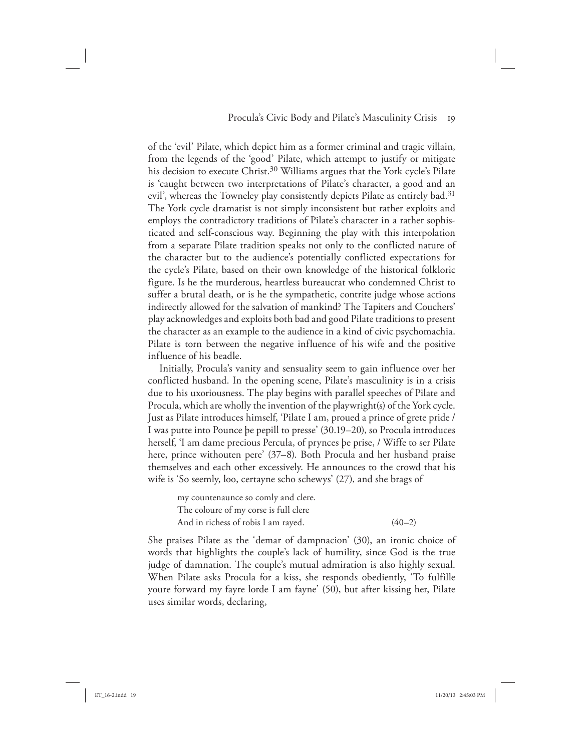of the 'evil' Pilate, which depict him as a former criminal and tragic villain, from the legends of the 'good' Pilate, which attempt to justify or mitigate his decision to execute Christ.<sup>30</sup> Williams argues that the York cycle's Pilate is 'caught between two interpretations of Pilate's character, a good and an evil', whereas the Towneley play consistently depicts Pilate as entirely bad.<sup>31</sup> The York cycle dramatist is not simply inconsistent but rather exploits and employs the contradictory traditions of Pilate's character in a rather sophisticated and self-conscious way. Beginning the play with this interpolation from a separate Pilate tradition speaks not only to the conflicted nature of the character but to the audience's potentially conflicted expectations for the cycle's Pilate, based on their own knowledge of the historical folkloric figure. Is he the murderous, heartless bureaucrat who condemned Christ to suffer a brutal death, or is he the sympathetic, contrite judge whose actions indirectly allowed for the salvation of mankind? The Tapiters and Couchers' play acknowledges and exploits both bad and good Pilate traditions to present the character as an example to the audience in a kind of civic psychomachia. Pilate is torn between the negative influence of his wife and the positive influence of his beadle.

Initially, Procula's vanity and sensuality seem to gain influence over her conflicted husband. In the opening scene, Pilate's masculinity is in a crisis due to his uxoriousness. The play begins with parallel speeches of Pilate and Procula, which are wholly the invention of the playwright(s) of the York cycle. Just as Pilate introduces himself, 'Pilate I am, proued a prince of grete pride / I was putte into Pounce þe pepill to presse' (30.19–20), so Procula introduces herself, 'I am dame precious Percula, of prynces þe prise, / Wiffe to ser Pilate here, prince withouten pere' (37–8). Both Procula and her husband praise themselves and each other excessively. He announces to the crowd that his wife is 'So seemly, loo, certayne scho schewys' (27), and she brags of

my countenaunce so comly and clere. The coloure of my corse is full clere And in richess of robis I am rayed.  $(40-2)$ 

She praises Pilate as the 'demar of dampnacion' (30), an ironic choice of words that highlights the couple's lack of humility, since God is the true judge of damnation. The couple's mutual admiration is also highly sexual. When Pilate asks Procula for a kiss, she responds obediently, 'To fulfille youre forward my fayre lorde I am fayne' (50), but after kissing her, Pilate uses similar words, declaring,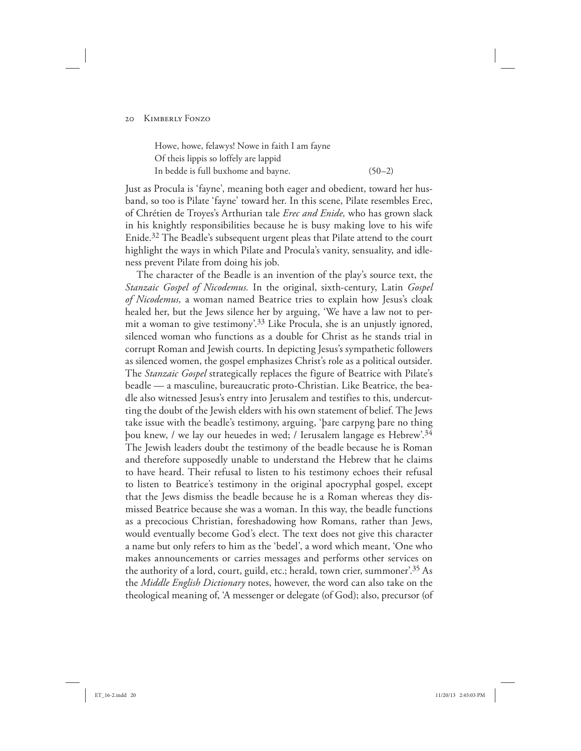Howe, howe, felawys! Nowe in faith I am fayne Of theis lippis so loffely are lappid In bedde is full buxhome and bayne. (50–2)

Just as Procula is 'fayne', meaning both eager and obedient, toward her husband, so too is Pilate 'fayne' toward her. In this scene, Pilate resembles Erec, of Chrétien de Troyes's Arthurian tale *Erec and Enide,* who has grown slack in his knightly responsibilities because he is busy making love to his wife Enide.32 The Beadle's subsequent urgent pleas that Pilate attend to the court highlight the ways in which Pilate and Procula's vanity, sensuality, and idleness prevent Pilate from doing his job.

The character of the Beadle is an invention of the play's source text, the *Stanzaic Gospel of Nicodemus.* In the original, sixth-century, Latin *Gospel of Nicodemus,* a woman named Beatrice tries to explain how Jesus's cloak healed her, but the Jews silence her by arguing, 'We have a law not to permit a woman to give testimony'.33 Like Procula, she is an unjustly ignored, silenced woman who functions as a double for Christ as he stands trial in corrupt Roman and Jewish courts. In depicting Jesus's sympathetic followers as silenced women, the gospel emphasizes Christ's role as a political outsider. The *Stanzaic Gospel* strategically replaces the figure of Beatrice with Pilate's beadle — a masculine, bureaucratic proto-Christian. Like Beatrice, the beadle also witnessed Jesus's entry into Jerusalem and testifies to this, undercutting the doubt of the Jewish elders with his own statement of belief. The Jews take issue with the beadle's testimony, arguing, 'þare carpyng þare no thing þou knew, / we lay our heuedes in wed; / Ierusalem langage es Hebrew'.34 The Jewish leaders doubt the testimony of the beadle because he is Roman and therefore supposedly unable to understand the Hebrew that he claims to have heard. Their refusal to listen to his testimony echoes their refusal to listen to Beatrice's testimony in the original apocryphal gospel, except that the Jews dismiss the beadle because he is a Roman whereas they dismissed Beatrice because she was a woman. In this way, the beadle functions as a precocious Christian, foreshadowing how Romans, rather than Jews, would eventually become God's elect. The text does not give this character a name but only refers to him as the 'bedel', a word which meant, 'One who makes announcements or carries messages and performs other services on the authority of a lord, court, guild, etc.; herald, town crier, summoner'.<sup>35</sup> As the *Middle English Dictionary* notes, however, the word can also take on the theological meaning of, 'A messenger or delegate (of God); also, precursor (of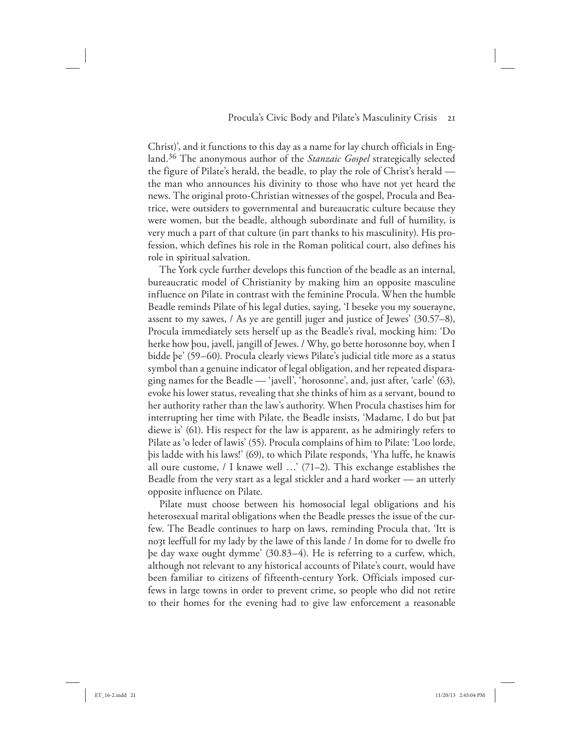Christ)', and it functions to this day as a name for lay church officials in England.36 The anonymous author of the *Stanzaic Gospel* strategically selected the figure of Pilate's herald, the beadle, to play the role of Christ's herald the man who announces his divinity to those who have not yet heard the news. The original proto-Christian witnesses of the gospel, Procula and Beatrice, were outsiders to governmental and bureaucratic culture because they were women, but the beadle, although subordinate and full of humility, is very much a part of that culture (in part thanks to his masculinity). His profession, which defines his role in the Roman political court, also defines his role in spiritual salvation.

The York cycle further develops this function of the beadle as an internal, bureaucratic model of Christianity by making him an opposite masculine influence on Pilate in contrast with the feminine Procula. When the humble Beadle reminds Pilate of his legal duties, saying, 'I beseke you my souerayne, assent to my sawes, / As ye are gentill juger and justice of Jewes' (30.57–8), Procula immediately sets herself up as the Beadle's rival, mocking him: 'Do herke how þou, javell, jangill of Jewes. / Why, go bette horosonne boy, when I bidde þe' (59–60). Procula clearly views Pilate's judicial title more as a status symbol than a genuine indicator of legal obligation, and her repeated disparaging names for the Beadle — 'javell', 'horosonne', and, just after, 'carle' (63), evoke his lower status, revealing that she thinks of him as a servant, bound to her authority rather than the law's authority. When Procula chastises him for interrupting her time with Pilate, the Beadle insists, 'Madame, I do but þat diewe is' (61). His respect for the law is apparent, as he admiringly refers to Pilate as 'o leder of lawis' (55). Procula complains of him to Pilate: 'Loo lorde, þis ladde with his laws!' (69), to which Pilate responds, 'Yha luffe, he knawis all oure custome, / I knawe well …' (71–2). This exchange establishes the Beadle from the very start as a legal stickler and a hard worker — an utterly opposite influence on Pilate.

Pilate must choose between his homosocial legal obligations and his heterosexual marital obligations when the Beadle presses the issue of the curfew. The Beadle continues to harp on laws, reminding Procula that, 'Itt is noȝt leeffull for my lady by the lawe of this lande / In dome for to dwelle fro þe day waxe ought dymme' (30.83–4). He is referring to a curfew, which, although not relevant to any historical accounts of Pilate's court, would have been familiar to citizens of fifteenth-century York. Officials imposed curfews in large towns in order to prevent crime, so people who did not retire to their homes for the evening had to give law enforcement a reasonable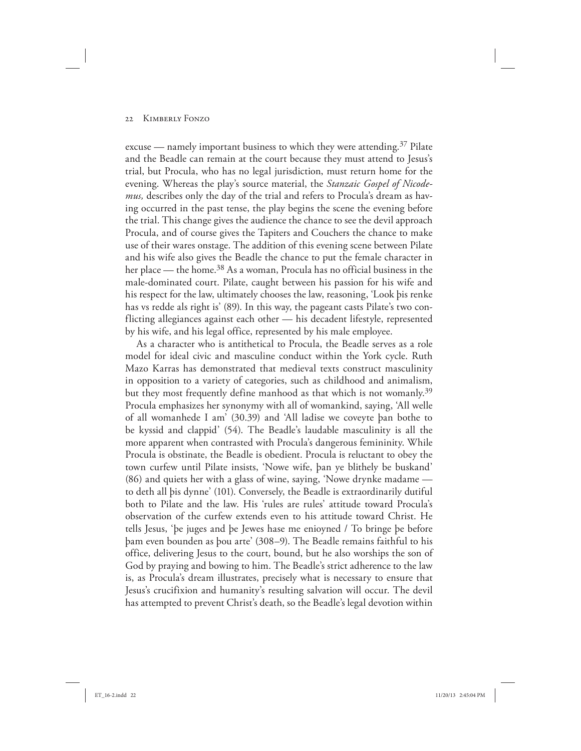excuse — namely important business to which they were attending.<sup>37</sup> Pilate and the Beadle can remain at the court because they must attend to Jesus's trial, but Procula, who has no legal jurisdiction, must return home for the evening. Whereas the play's source material, the *Stanzaic Gospel of Nicodemus,* describes only the day of the trial and refers to Procula's dream as having occurred in the past tense, the play begins the scene the evening before the trial. This change gives the audience the chance to see the devil approach Procula, and of course gives the Tapiters and Couchers the chance to make use of their wares onstage. The addition of this evening scene between Pilate and his wife also gives the Beadle the chance to put the female character in her place — the home.<sup>38</sup> As a woman, Procula has no official business in the male-dominated court. Pilate, caught between his passion for his wife and his respect for the law, ultimately chooses the law, reasoning, 'Look þis renke has vs redde als right is' (89). In this way, the pageant casts Pilate's two conflicting allegiances against each other — his decadent lifestyle, represented by his wife, and his legal office, represented by his male employee.

As a character who is antithetical to Procula, the Beadle serves as a role model for ideal civic and masculine conduct within the York cycle. Ruth Mazo Karras has demonstrated that medieval texts construct masculinity in opposition to a variety of categories, such as childhood and animalism, but they most frequently define manhood as that which is not womanly.<sup>39</sup> Procula emphasizes her synonymy with all of womankind, saying, 'All welle of all womanhede I am' (30.39) and 'All ladise we coveyte þan bothe to be kyssid and clappid' (54). The Beadle's laudable masculinity is all the more apparent when contrasted with Procula's dangerous femininity. While Procula is obstinate, the Beadle is obedient. Procula is reluctant to obey the town curfew until Pilate insists, 'Nowe wife, þan ye blithely be buskand' (86) and quiets her with a glass of wine, saying, 'Nowe drynke madame to deth all þis dynne' (101). Conversely, the Beadle is extraordinarily dutiful both to Pilate and the law. His 'rules are rules' attitude toward Procula's observation of the curfew extends even to his attitude toward Christ. He tells Jesus, 'þe juges and þe Jewes hase me enioyned / To bringe þe before þam even bounden as þou arte' (308–9). The Beadle remains faithful to his office, delivering Jesus to the court, bound, but he also worships the son of God by praying and bowing to him. The Beadle's strict adherence to the law is, as Procula's dream illustrates, precisely what is necessary to ensure that Jesus's crucifixion and humanity's resulting salvation will occur. The devil has attempted to prevent Christ's death, so the Beadle's legal devotion within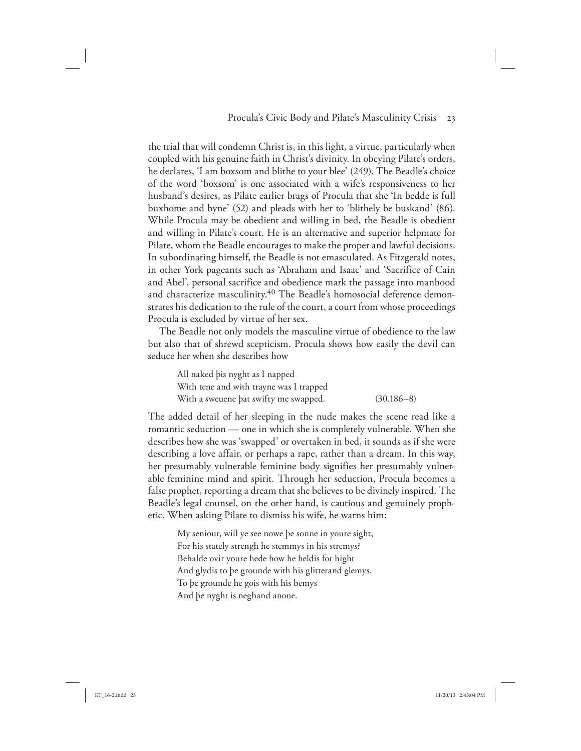the trial that will condemn Christ is, in this light, a virtue, particularly when coupled with his genuine faith in Christ's divinity. In obeying Pilate's orders, he declares, 'I am boxsom and blithe to your blee' (249). The Beadle's choice of the word 'boxsom' is one associated with a wife's responsiveness to her husband's desires, as Pilate earlier brags of Procula that she 'In bedde is full buxhome and byne' (52) and pleads with her to 'blithely be buskand' (86). While Procula may be obedient and willing in bed, the Beadle is obedient and willing in Pilate's court. He is an alternative and superior helpmate for Pilate, whom the Beadle encourages to make the proper and lawful decisions. In subordinating himself, the Beadle is not emasculated. As Fitzgerald notes, in other York pageants such as 'Abraham and Isaac' and 'Sacrifice of Cain and Abel', personal sacrifice and obedience mark the passage into manhood and characterize masculinity.<sup>40</sup> The Beadle's homosocial deference demonstrates his dedication to the rule of the court, a court from whose proceedings Procula is excluded by virtue of her sex.

The Beadle not only models the masculine virtue of obedience to the law but also that of shrewd scepticism. Procula shows how easily the devil can seduce her when she describes how

All naked þis nyght as I napped With tene and with trayne was I trapped With a sweuene bat swifty me swapped. (30.186–8)

The added detail of her sleeping in the nude makes the scene read like a romantic seduction — one in which she is completely vulnerable. When she describes how she was 'swapped' or overtaken in bed, it sounds as if she were describing a love affair, or perhaps a rape, rather than a dream. In this way, her presumably vulnerable feminine body signifies her presumably vulnerable feminine mind and spirit. Through her seduction, Procula becomes a false prophet, reporting a dream that she believes to be divinely inspired. The Beadle's legal counsel, on the other hand, is cautious and genuinely prophetic. When asking Pilate to dismiss his wife, he warns him:

My seniour, will ye see nowe þe sonne in youre sight, For his stately strengh he stemmys in his stremys? Behalde ovir youre hede how he heldis for hight And glydis to þe grounde with his glitterand glemys. To þe grounde he gois with his bemys And þe nyght is neghand anone.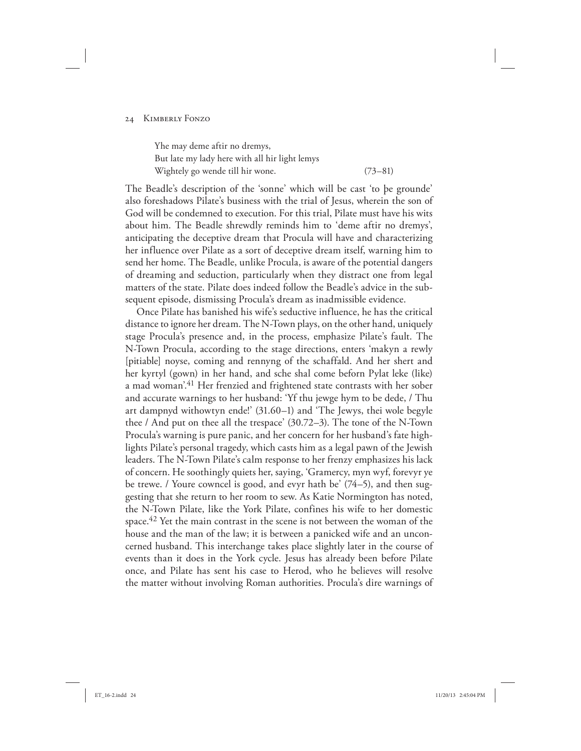Yhe may deme aftir no dremys, But late my lady here with all hir light lemys Wightely go wende till hir wone. (73–81)

The Beadle's description of the 'sonne' which will be cast 'to þe grounde' also foreshadows Pilate's business with the trial of Jesus, wherein the son of God will be condemned to execution. For this trial, Pilate must have his wits about him. The Beadle shrewdly reminds him to 'deme aftir no dremys', anticipating the deceptive dream that Procula will have and characterizing her influence over Pilate as a sort of deceptive dream itself, warning him to send her home. The Beadle, unlike Procula, is aware of the potential dangers of dreaming and seduction, particularly when they distract one from legal matters of the state. Pilate does indeed follow the Beadle's advice in the subsequent episode, dismissing Procula's dream as inadmissible evidence.

Once Pilate has banished his wife's seductive influence, he has the critical distance to ignore her dream. The N-Town plays, on the other hand, uniquely stage Procula's presence and, in the process, emphasize Pilate's fault. The N-Town Procula, according to the stage directions, enters 'makyn a rewly [pitiable] noyse, coming and rennyng of the schaffald. And her shert and her kyrtyl (gown) in her hand, and sche shal come beforn Pylat leke (like) a mad woman'.<sup>41</sup> Her frenzied and frightened state contrasts with her sober and accurate warnings to her husband: 'Yf thu jewge hym to be dede, / Thu art dampnyd withowtyn ende!' (31.60–1) and 'The Jewys, thei wole begyle thee / And put on thee all the trespace' (30.72–3). The tone of the N-Town Procula's warning is pure panic, and her concern for her husband's fate highlights Pilate's personal tragedy, which casts him as a legal pawn of the Jewish leaders. The N-Town Pilate's calm response to her frenzy emphasizes his lack of concern. He soothingly quiets her, saying, 'Gramercy, myn wyf, forevyr ye be trewe. / Youre cowncel is good, and evyr hath be' (74–5), and then suggesting that she return to her room to sew. As Katie Normington has noted, the N-Town Pilate, like the York Pilate, confines his wife to her domestic space.<sup>42</sup> Yet the main contrast in the scene is not between the woman of the house and the man of the law; it is between a panicked wife and an unconcerned husband. This interchange takes place slightly later in the course of events than it does in the York cycle. Jesus has already been before Pilate once, and Pilate has sent his case to Herod, who he believes will resolve the matter without involving Roman authorities. Procula's dire warnings of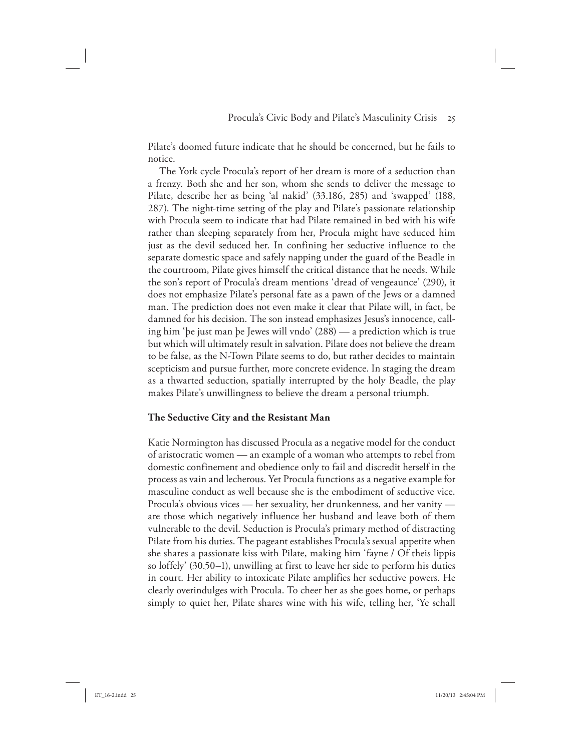Pilate's doomed future indicate that he should be concerned, but he fails to notice.

The York cycle Procula's report of her dream is more of a seduction than a frenzy. Both she and her son, whom she sends to deliver the message to Pilate, describe her as being 'al nakid' (33.186, 285) and 'swapped' (188, 287). The night-time setting of the play and Pilate's passionate relationship with Procula seem to indicate that had Pilate remained in bed with his wife rather than sleeping separately from her, Procula might have seduced him just as the devil seduced her. In confining her seductive influence to the separate domestic space and safely napping under the guard of the Beadle in the courtroom, Pilate gives himself the critical distance that he needs. While the son's report of Procula's dream mentions 'dread of vengeaunce' (290), it does not emphasize Pilate's personal fate as a pawn of the Jews or a damned man. The prediction does not even make it clear that Pilate will, in fact, be damned for his decision. The son instead emphasizes Jesus's innocence, calling him 'þe just man þe Jewes will vndo' (288) — a prediction which is true but which will ultimately result in salvation. Pilate does not believe the dream to be false, as the N-Town Pilate seems to do, but rather decides to maintain scepticism and pursue further, more concrete evidence. In staging the dream as a thwarted seduction, spatially interrupted by the holy Beadle, the play makes Pilate's unwillingness to believe the dream a personal triumph.

## **The Seductive City and the Resistant Man**

Katie Normington has discussed Procula as a negative model for the conduct of aristocratic women — an example of a woman who attempts to rebel from domestic confinement and obedience only to fail and discredit herself in the process as vain and lecherous. Yet Procula functions as a negative example for masculine conduct as well because she is the embodiment of seductive vice. Procula's obvious vices — her sexuality, her drunkenness, and her vanity are those which negatively influence her husband and leave both of them vulnerable to the devil. Seduction is Procula's primary method of distracting Pilate from his duties. The pageant establishes Procula's sexual appetite when she shares a passionate kiss with Pilate, making him 'fayne / Of theis lippis so loffely' (30.50–1), unwilling at first to leave her side to perform his duties in court. Her ability to intoxicate Pilate amplifies her seductive powers. He clearly overindulges with Procula. To cheer her as she goes home, or perhaps simply to quiet her, Pilate shares wine with his wife, telling her, 'Ye schall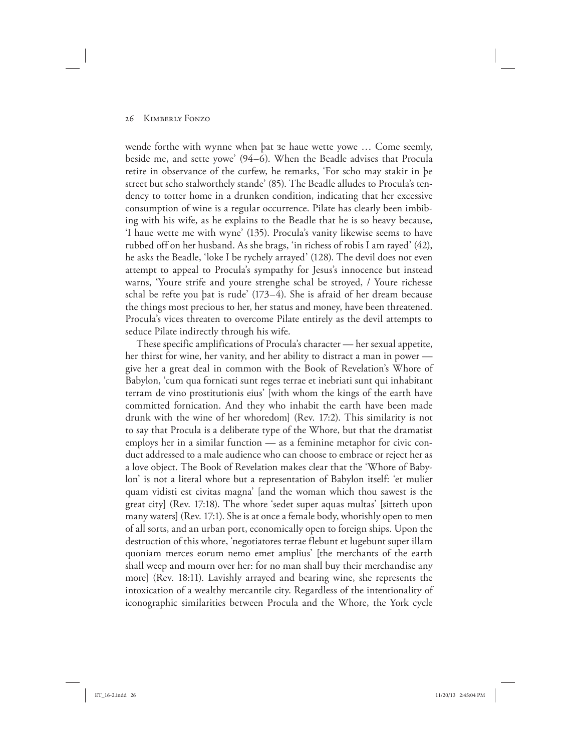wende forthe with wynne when þat зe haue wette yowe … Come seemly, beside me, and sette yowe' (94–6). When the Beadle advises that Procula retire in observance of the curfew, he remarks, 'For scho may stakir in þe street but scho stalworthely stande' (85). The Beadle alludes to Procula's tendency to totter home in a drunken condition, indicating that her excessive consumption of wine is a regular occurrence. Pilate has clearly been imbibing with his wife, as he explains to the Beadle that he is so heavy because, 'I haue wette me with wyne' (135). Procula's vanity likewise seems to have rubbed off on her husband. As she brags, 'in richess of robis I am rayed' (42), he asks the Beadle, 'loke I be rychely arrayed' (128). The devil does not even attempt to appeal to Procula's sympathy for Jesus's innocence but instead warns, 'Youre strife and youre strenghe schal be stroyed, / Youre richesse schal be refte you þat is rude' (173–4). She is afraid of her dream because the things most precious to her, her status and money, have been threatened. Procula's vices threaten to overcome Pilate entirely as the devil attempts to seduce Pilate indirectly through his wife.

These specific amplifications of Procula's character — her sexual appetite, her thirst for wine, her vanity, and her ability to distract a man in power give her a great deal in common with the Book of Revelation's Whore of Babylon, 'cum qua fornicati sunt reges terrae et inebriati sunt qui inhabitant terram de vino prostitutionis eius' [with whom the kings of the earth have committed fornication. And they who inhabit the earth have been made drunk with the wine of her whoredom] (Rev. 17:2). This similarity is not to say that Procula is a deliberate type of the Whore, but that the dramatist employs her in a similar function — as a feminine metaphor for civic conduct addressed to a male audience who can choose to embrace or reject her as a love object. The Book of Revelation makes clear that the 'Whore of Babylon' is not a literal whore but a representation of Babylon itself: 'et mulier quam vidisti est civitas magna' [and the woman which thou sawest is the great city] (Rev. 17:18). The whore 'sedet super aquas multas' [sitteth upon many waters] (Rev. 17:1). She is at once a female body, whorishly open to men of all sorts, and an urban port, economically open to foreign ships. Upon the destruction of this whore, 'negotiatores terrae flebunt et lugebunt super illam quoniam merces eorum nemo emet amplius' [the merchants of the earth shall weep and mourn over her: for no man shall buy their merchandise any more] (Rev. 18:11). Lavishly arrayed and bearing wine, she represents the intoxication of a wealthy mercantile city. Regardless of the intentionality of iconographic similarities between Procula and the Whore, the York cycle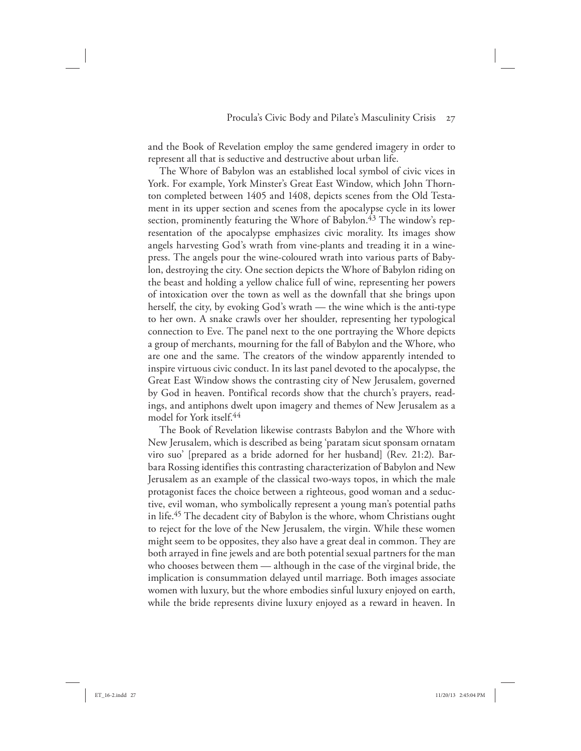and the Book of Revelation employ the same gendered imagery in order to represent all that is seductive and destructive about urban life.

The Whore of Babylon was an established local symbol of civic vices in York. For example, York Minster's Great East Window, which John Thornton completed between 1405 and 1408, depicts scenes from the Old Testament in its upper section and scenes from the apocalypse cycle in its lower section, prominently featuring the Whore of Babylon. $^{43}$  The window's representation of the apocalypse emphasizes civic morality. Its images show angels harvesting God's wrath from vine-plants and treading it in a winepress. The angels pour the wine-coloured wrath into various parts of Babylon, destroying the city. One section depicts the Whore of Babylon riding on the beast and holding a yellow chalice full of wine, representing her powers of intoxication over the town as well as the downfall that she brings upon herself, the city, by evoking God's wrath — the wine which is the anti-type to her own. A snake crawls over her shoulder, representing her typological connection to Eve. The panel next to the one portraying the Whore depicts a group of merchants, mourning for the fall of Babylon and the Whore, who are one and the same. The creators of the window apparently intended to inspire virtuous civic conduct. In its last panel devoted to the apocalypse, the Great East Window shows the contrasting city of New Jerusalem, governed by God in heaven. Pontifical records show that the church's prayers, readings, and antiphons dwelt upon imagery and themes of New Jerusalem as a model for York itself.44

The Book of Revelation likewise contrasts Babylon and the Whore with New Jerusalem, which is described as being 'paratam sicut sponsam ornatam viro suo' [prepared as a bride adorned for her husband] (Rev. 21:2). Barbara Rossing identifies this contrasting characterization of Babylon and New Jerusalem as an example of the classical two-ways topos, in which the male protagonist faces the choice between a righteous, good woman and a seductive, evil woman, who symbolically represent a young man's potential paths in life.45 The decadent city of Babylon is the whore, whom Christians ought to reject for the love of the New Jerusalem, the virgin. While these women might seem to be opposites, they also have a great deal in common. They are both arrayed in fine jewels and are both potential sexual partners for the man who chooses between them — although in the case of the virginal bride, the implication is consummation delayed until marriage. Both images associate women with luxury, but the whore embodies sinful luxury enjoyed on earth, while the bride represents divine luxury enjoyed as a reward in heaven. In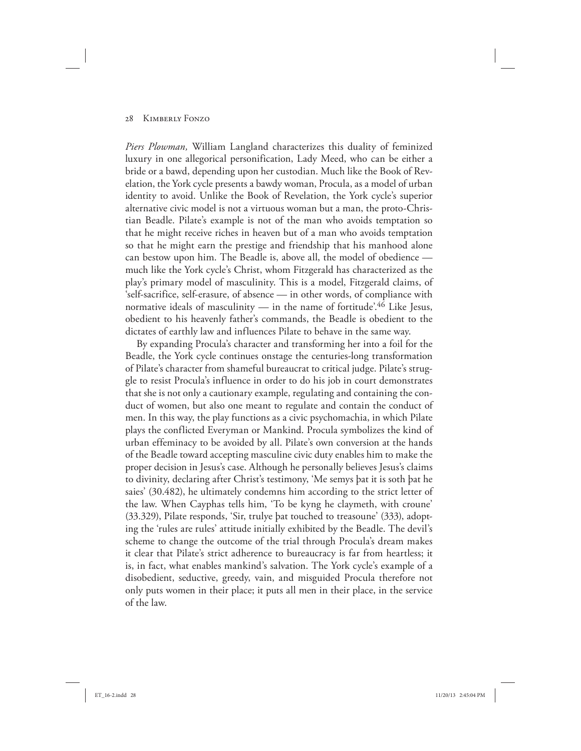*Piers Plowman,* William Langland characterizes this duality of feminized luxury in one allegorical personification, Lady Meed, who can be either a bride or a bawd, depending upon her custodian. Much like the Book of Revelation, the York cycle presents a bawdy woman, Procula, as a model of urban identity to avoid. Unlike the Book of Revelation, the York cycle's superior alternative civic model is not a virtuous woman but a man, the proto-Christian Beadle. Pilate's example is not of the man who avoids temptation so that he might receive riches in heaven but of a man who avoids temptation so that he might earn the prestige and friendship that his manhood alone can bestow upon him. The Beadle is, above all, the model of obedience much like the York cycle's Christ, whom Fitzgerald has characterized as the play's primary model of masculinity. This is a model, Fitzgerald claims, of 'self-sacrifice, self-erasure, of absence — in other words, of compliance with normative ideals of masculinity — in the name of fortitude<sup>'46</sup> Like Jesus, obedient to his heavenly father's commands, the Beadle is obedient to the dictates of earthly law and influences Pilate to behave in the same way.

By expanding Procula's character and transforming her into a foil for the Beadle, the York cycle continues onstage the centuries-long transformation of Pilate's character from shameful bureaucrat to critical judge. Pilate's struggle to resist Procula's influence in order to do his job in court demonstrates that she is not only a cautionary example, regulating and containing the conduct of women, but also one meant to regulate and contain the conduct of men. In this way, the play functions as a civic psychomachia, in which Pilate plays the conflicted Everyman or Mankind. Procula symbolizes the kind of urban effeminacy to be avoided by all. Pilate's own conversion at the hands of the Beadle toward accepting masculine civic duty enables him to make the proper decision in Jesus's case. Although he personally believes Jesus's claims to divinity, declaring after Christ's testimony, 'Me semys þat it is soth þat he saies' (30.482), he ultimately condemns him according to the strict letter of the law. When Cayphas tells him, 'To be kyng he claymeth, with croune' (33.329), Pilate responds, 'Sir, trulye þat touched to treasoune' (333), adopting the 'rules are rules' attitude initially exhibited by the Beadle. The devil's scheme to change the outcome of the trial through Procula's dream makes it clear that Pilate's strict adherence to bureaucracy is far from heartless; it is, in fact, what enables mankind's salvation. The York cycle's example of a disobedient, seductive, greedy, vain, and misguided Procula therefore not only puts women in their place; it puts all men in their place, in the service of the law.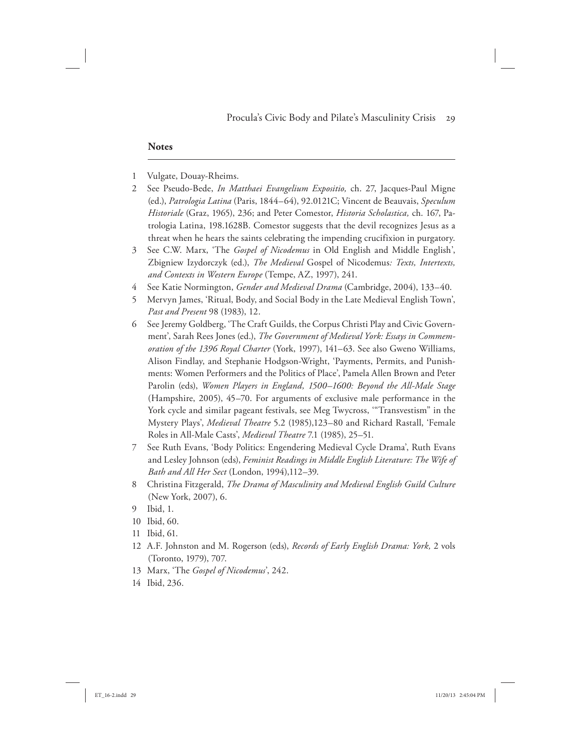### **Notes**

- 1 Vulgate, Douay-Rheims.
- 2 See Pseudo-Bede, *In Matthaei Evangelium Expositio,* ch. 27, Jacques-Paul Migne (ed.), *Patrologia Latina* (Paris, 1844–64), 92.0121C; Vincent de Beauvais, *Speculum Historiale* (Graz, 1965), 236; and Peter Comestor, *Historia Scholastica,* ch. 167, Patrologia Latina, 198.1628B. Comestor suggests that the devil recognizes Jesus as a threat when he hears the saints celebrating the impending crucifixion in purgatory.
- 3 See C.W. Marx, 'The *Gospel of Nicodemus* in Old English and Middle English', Zbigniew Izydorczyk (ed.), *The Medieval* Gospel of Nicodemus*: Texts, Intertexts, and Contexts in Western Europe* (Tempe, AZ, 1997), 241.
- 4 See Katie Normington, *Gender and Medieval Drama* (Cambridge, 2004), 133–40.
- 5 Mervyn James, 'Ritual, Body, and Social Body in the Late Medieval English Town', *Past and Present* 98 (1983), 12.
- 6 See Jeremy Goldberg, 'The Craft Guilds, the Corpus Christi Play and Civic Government', Sarah Rees Jones (ed.), *The Government of Medieval York: Essays in Commemoration of the 1396 Royal Charter* (York, 1997), 141–63. See also Gweno Williams, Alison Findlay, and Stephanie Hodgson-Wright, 'Payments, Permits, and Punishments: Women Performers and the Politics of Place', Pamela Allen Brown and Peter Parolin (eds), *Women Players in England, 1500–1600: Beyond the All-Male Stage* (Hampshire, 2005), 45–70. For arguments of exclusive male performance in the York cycle and similar pageant festivals, see Meg Twycross, '"Transvestism" in the Mystery Plays', *Medieval Theatre* 5.2 (1985),123–80 and Richard Rastall, 'Female Roles in All-Male Casts', *Medieval Theatre* 7.1 (1985), 25–51.
- 7 See Ruth Evans, 'Body Politics: Engendering Medieval Cycle Drama', Ruth Evans and Lesley Johnson (eds), *Feminist Readings in Middle English Literature: The Wife of Bath and All Her Sect* (London, 1994),112–39.
- 8 Christina Fitzgerald, *The Drama of Masculinity and Medieval English Guild Culture* (New York, 2007), 6.
- 9 Ibid, 1.
- 10 Ibid, 60.
- 11 Ibid, 61.
- 12 A.F. Johnston and M. Rogerson (eds), *Records of Early English Drama: York,* 2 vols (Toronto, 1979), 707.
- 13 Marx, 'The *Gospel of Nicodemus*', 242.
- 14 Ibid, 236.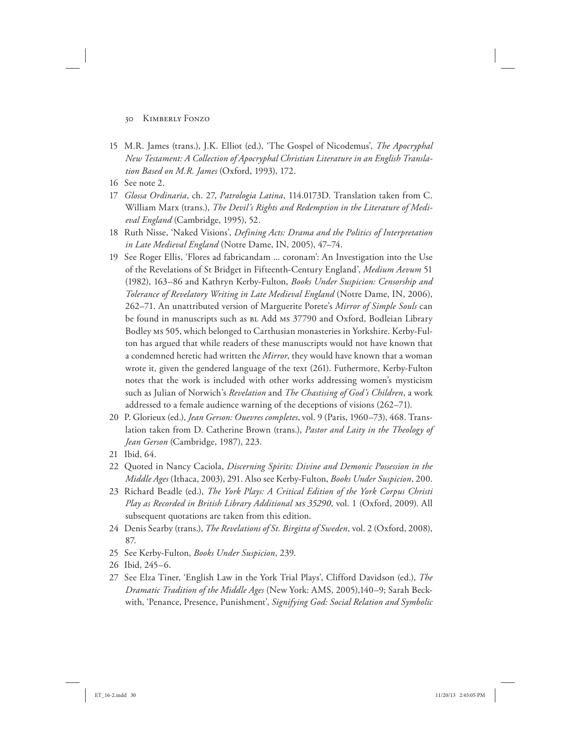- 15 M.R. James (trans.), J.K. Elliot (ed.), 'The Gospel of Nicodemus', *The Apocryphal New Testament: A Collection of Apocryphal Christian Literature in an English Translation Based on M.R. James* (Oxford, 1993), 172.
- 16 See note 2.
- 17 *Glossa Ordinaria*, ch. 27, *Patrologia Latina*, 114.0173D. Translation taken from C. William Marx (trans.), *The Devil's Rights and Redemption in the Literature of Medieval England* (Cambridge, 1995), 52.
- 18 Ruth Nisse, 'Naked Visions', *Defining Acts: Drama and the Politics of Interpretation in Late Medieval England* (Notre Dame, IN, 2005), 47–74.
- 19 See Roger Ellis, 'Flores ad fabricandam ... coronam': An Investigation into the Use of the Revelations of St Bridget in Fifteenth-Century England', *Medium Aevum* 51 (1982), 163–86 and Kathryn Kerby-Fulton, *Books Under Suspicion: Censorship and Tolerance of Revelatory Writing in Late Medieval England* (Notre Dame, IN, 2006), 262–71. An unattributed version of Marguerite Porete's *Mirror of Simple Souls* can be found in manuscripts such as BL Add ms 37790 and Oxford, Bodleian Library Bodley ms 505, which belonged to Carthusian monasteries in Yorkshire. Kerby-Fulton has argued that while readers of these manuscripts would not have known that a condemned heretic had written the *Mirror*, they would have known that a woman wrote it, given the gendered language of the text (261). Futhermore, Kerby-Fulton notes that the work is included with other works addressing women's mysticism such as Julian of Norwich's *Revelation* and *The Chastising of God's Children*, a work addressed to a female audience warning of the deceptions of visions (262–71).
- 20 P. Glorieux (ed.), *Jean Gerson: Ouevres completes*, vol. 9 (Paris, 1960–73), 468. Translation taken from D. Catherine Brown (trans.), *Pastor and Laity in the Theology of Jean Gerson* (Cambridge, 1987), 223.
- 21 Ibid, 64.
- 22 Quoted in Nancy Caciola, *Discerning Spirits: Divine and Demonic Possession in the Middle Ages* (Ithaca, 2003), 291. Also see Kerby-Fulton, *Books Under Suspicion*, 200.
- 23 Richard Beadle (ed.), *The York Plays: A Critical Edition of the York Corpus Christi*  Play as Recorded in British Library Additional Ms 35290, vol. 1 (Oxford, 2009). All subsequent quotations are taken from this edition.
- 24 Denis Searby (trans.), *The Revelations of St. Birgitta of Sweden,* vol. 2 (Oxford, 2008), 87.
- 25 See Kerby-Fulton, *Books Under Suspicion*, 239.
- 26 Ibid, 245–6.
- 27 See Elza Tiner, 'English Law in the York Trial Plays', Clifford Davidson (ed.), *The Dramatic Tradition of the Middle Ages* (New York: AMS, 2005),140–9; Sarah Beckwith, 'Penance, Presence, Punishment', *Signifying God: Social Relation and Symbolic*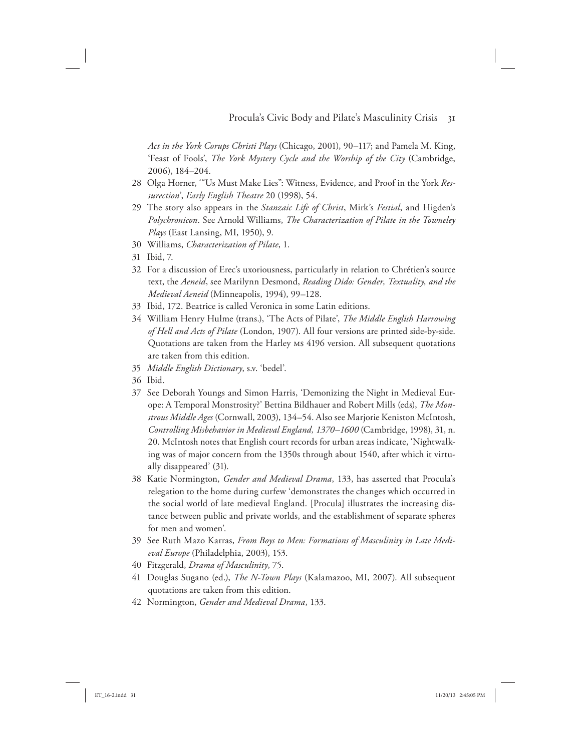*Act in the York Corups Christi Plays* (Chicago, 2001), 90–117; and Pamela M. King, 'Feast of Fools', *The York Mystery Cycle and the Worship of the City* (Cambridge, 2006), 184–204.

- 28 Olga Horner, '"Us Must Make Lies": Witness, Evidence, and Proof in the York *Ressurection*', *Early English Theatre* 20 (1998), 54.
- 29 The story also appears in the *Stanzaic Life of Christ*, Mirk's *Festial*, and Higden's *Polychronicon*. See Arnold Williams, *The Characterization of Pilate in the Towneley Plays* (East Lansing, MI, 1950), 9.
- 30 Williams, *Characterization of Pilate*, 1.
- 31 Ibid, 7.
- 32 For a discussion of Erec's uxoriousness, particularly in relation to Chrétien's source text, the *Aeneid*, see Marilynn Desmond, *Reading Dido: Gender, Textuality, and the Medieval Aeneid* (Minneapolis, 1994), 99–128.
- 33 Ibid, 172. Beatrice is called Veronica in some Latin editions.
- 34 William Henry Hulme (trans.), 'The Acts of Pilate', *The Middle English Harrowing of Hell and Acts of Pilate* (London, 1907). All four versions are printed side-by-side. Quotations are taken from the Harley ms 4196 version. All subsequent quotations are taken from this edition.
- 35 *Middle English Dictionary*, s.v. 'bedel'.
- 36 Ibid.
- 37 See Deborah Youngs and Simon Harris, 'Demonizing the Night in Medieval Europe: A Temporal Monstrosity?' Bettina Bildhauer and Robert Mills (eds), *The Monstrous Middle Ages* (Cornwall, 2003), 134–54. Also see Marjorie Keniston McIntosh, *Controlling Misbehavior in Medieval England, 1370–1600* (Cambridge, 1998), 31, n. 20. McIntosh notes that English court records for urban areas indicate, 'Nightwalking was of major concern from the 1350s through about 1540, after which it virtually disappeared' (31).
- 38 Katie Normington, *Gender and Medieval Drama*, 133, has asserted that Procula's relegation to the home during curfew 'demonstrates the changes which occurred in the social world of late medieval England. [Procula] illustrates the increasing distance between public and private worlds, and the establishment of separate spheres for men and women'.
- 39 See Ruth Mazo Karras, *From Boys to Men: Formations of Masculinity in Late Medieval Europe* (Philadelphia, 2003), 153.
- 40 Fitzgerald, *Drama of Masculinity*, 75.
- 41 Douglas Sugano (ed.), *The N-Town Plays* (Kalamazoo, MI, 2007). All subsequent quotations are taken from this edition.
- 42 Normington, *Gender and Medieval Drama*, 133.